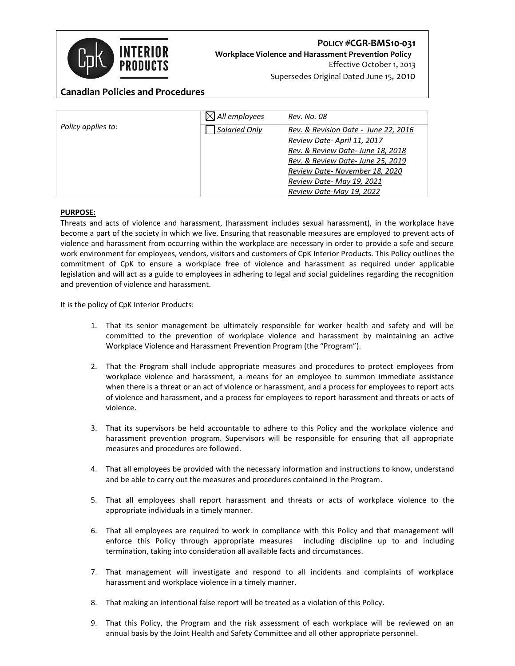

# **POLICY #CGR-BMS10-031 Workplace Violence and Harassment Prevention Policy** Effective October 1, 2013

Supersedes Original Dated June 15, 2010

## **Canadian Policies and Procedures**

| Policy applies to: | $\boxtimes$ All employees | Rev. No. 08                          |
|--------------------|---------------------------|--------------------------------------|
|                    | Salaried Only             | Rev. & Revision Date - June 22, 2016 |
|                    |                           | Review Date-April 11, 2017           |
|                    |                           | Rev. & Review Date- June 18, 2018    |
|                    |                           | Rev. & Review Date-June 25, 2019     |
|                    |                           | Review Date-November 18, 2020        |
|                    |                           | Review Date-May 19, 2021             |
|                    |                           | Review Date-May 19, 2022             |

### **PURPOSE:**

Threats and acts of violence and harassment, (harassment includes sexual harassment), in the workplace have become a part of the society in which we live. Ensuring that reasonable measures are employed to prevent acts of violence and harassment from occurring within the workplace are necessary in order to provide a safe and secure work environment for employees, vendors, visitors and customers of CpK Interior Products. This Policy outlines the commitment of CpK to ensure a workplace free of violence and harassment as required under applicable legislation and will act as a guide to employees in adhering to legal and social guidelines regarding the recognition and prevention of violence and harassment.

It is the policy of CpK Interior Products:

- 1. That its senior management be ultimately responsible for worker health and safety and will be committed to the prevention of workplace violence and harassment by maintaining an active Workplace Violence and Harassment Prevention Program (the "Program").
- 2. That the Program shall include appropriate measures and procedures to protect employees from workplace violence and harassment, a means for an employee to summon immediate assistance when there is a threat or an act of violence or harassment, and a process for employees to report acts of violence and harassment, and a process for employees to report harassment and threats or acts of violence.
- 3. That its supervisors be held accountable to adhere to this Policy and the workplace violence and harassment prevention program. Supervisors will be responsible for ensuring that all appropriate measures and procedures are followed.
- 4. That all employees be provided with the necessary information and instructions to know, understand and be able to carry out the measures and procedures contained in the Program.
- 5. That all employees shall report harassment and threats or acts of workplace violence to the appropriate individuals in a timely manner.
- 6. That all employees are required to work in compliance with this Policy and that management will enforce this Policy through appropriate measures including discipline up to and including termination, taking into consideration all available facts and circumstances.
- 7. That management will investigate and respond to all incidents and complaints of workplace harassment and workplace violence in a timely manner.
- 8. That making an intentional false report will be treated as a violation of this Policy.
- 9. That this Policy, the Program and the risk assessment of each workplace will be reviewed on an annual basis by the Joint Health and Safety Committee and all other appropriate personnel.